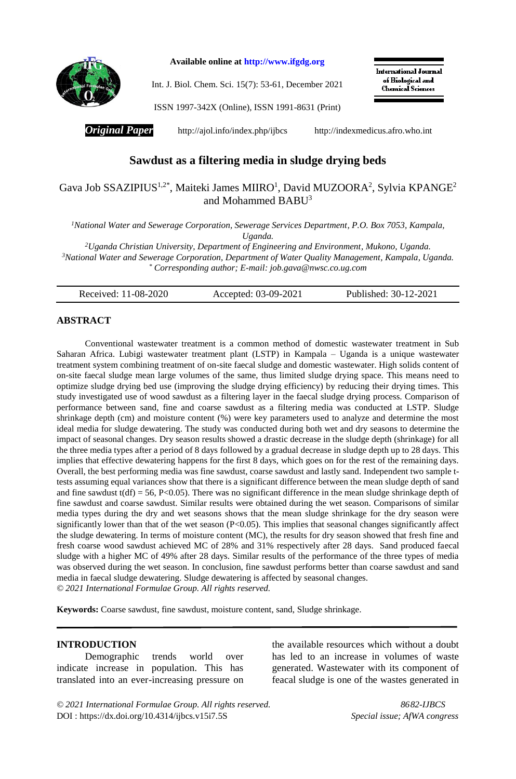

**Available online at [http://www.ifgdg.org](http://www.ifgdg.org/)**

Int. J. Biol. Chem. Sci. 15(7): 53-61, December 2021

International Journal of Biological and **Chemical Sciences** 

ISSN 1997-342X (Online), ISSN 1991-8631 (Print)

*Original Paper* <http://ajol.info/index.php/ijbcs>[http://indexmedicus.afro.who.int](http://indexmedicus.afro.who.int/)

# **Sawdust as a filtering media in sludge drying beds**

## Gava Job SSAZIPIUS<sup>1,2\*</sup>, Maiteki James MIIRO<sup>1</sup>, David MUZOORA<sup>2</sup>, Sylvia KPANGE<sup>2</sup> and Mohammed BABU<sup>3</sup>

*<sup>1</sup>National Water and Sewerage Corporation, Sewerage Services Department, P.O. Box 7053, Kampala, Uganda.*

*<sup>2</sup>Uganda Christian University, Department of Engineering and Environment, Mukono, Uganda. <sup>3</sup>National Water and Sewerage Corporation, Department of Water Quality Management, Kampala, Uganda. \* Corresponding author; E-mail: [job.gava@nwsc.co.ug.com](mailto:Job.Gava@nwsc.co.ug.com)*

Received: 11-08-2020 Accepted: 03-09-2021 Published: 30-12-2021

## **ABSTRACT**

Conventional wastewater treatment is a common method of domestic wastewater treatment in Sub Saharan Africa. Lubigi wastewater treatment plant (LSTP) in Kampala – Uganda is a unique wastewater treatment system combining treatment of on-site faecal sludge and domestic wastewater. High solids content of on-site faecal sludge mean large volumes of the same, thus limited sludge drying space. This means need to optimize sludge drying bed use (improving the sludge drying efficiency) by reducing their drying times. This study investigated use of wood sawdust as a filtering layer in the faecal sludge drying process. Comparison of performance between sand, fine and coarse sawdust as a filtering media was conducted at LSTP. Sludge shrinkage depth (cm) and moisture content (%) were key parameters used to analyze and determine the most ideal media for sludge dewatering. The study was conducted during both wet and dry seasons to determine the impact of seasonal changes. Dry season results showed a drastic decrease in the sludge depth (shrinkage) for all the three media types after a period of 8 days followed by a gradual decrease in sludge depth up to 28 days. This implies that effective dewatering happens for the first 8 days, which goes on for the rest of the remaining days. Overall, the best performing media was fine sawdust, coarse sawdust and lastly sand. Independent two sample ttests assuming equal variances show that there is a significant difference between the mean sludge depth of sand and fine sawdust  $t(df) = 56$ , P<0.05). There was no significant difference in the mean sludge shrinkage depth of fine sawdust and coarse sawdust. Similar results were obtained during the wet season. Comparisons of similar media types during the dry and wet seasons shows that the mean sludge shrinkage for the dry season were significantly lower than that of the wet season (P<0.05). This implies that seasonal changes significantly affect the sludge dewatering. In terms of moisture content (MC), the results for dry season showed that fresh fine and fresh coarse wood sawdust achieved MC of 28% and 31% respectively after 28 days. Sand produced faecal sludge with a higher MC of 49% after 28 days. Similar results of the performance of the three types of media was observed during the wet season. In conclusion, fine sawdust performs better than coarse sawdust and sand media in faecal sludge dewatering. Sludge dewatering is affected by seasonal changes. *© 2021 International Formulae Group. All rights reserved.*

**Keywords:** Coarse sawdust, fine sawdust, moisture content, sand, Sludge shrinkage.

#### **INTRODUCTION**

Demographic trends world over indicate increase in population. This has translated into an ever-increasing pressure on the available resources which without a doubt has led to an increase in volumes of waste generated. Wastewater with its component of feacal sludge is one of the wastes generated in

*© 2021 International Formulae Group. All rights reserved. 8682-IJBCS* DOI [: https://dx.doi.org/10.4314/ijbcs.v15i7.5S](https://dx.doi.org/10.4314/ijbcs.v15i7.1S) *Special issue; AfWA congress*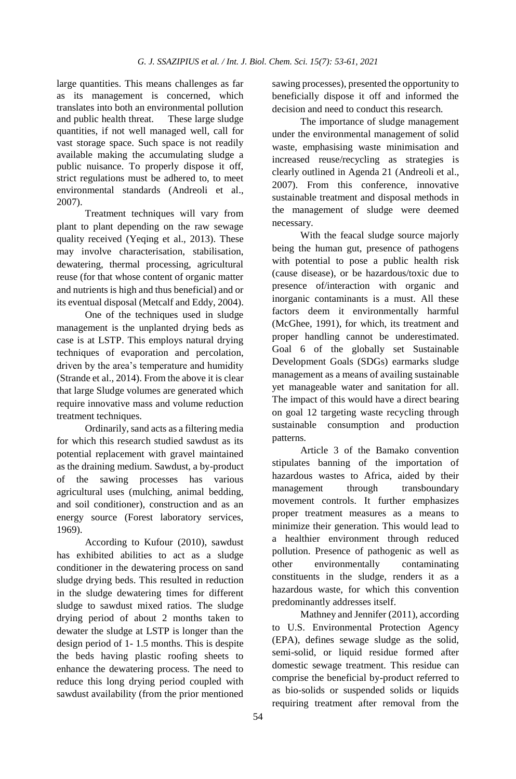large quantities. This means challenges as far as its management is concerned, which translates into both an environmental pollution and public health threat. These large sludge quantities, if not well managed well, call for vast storage space. Such space is not readily available making the accumulating sludge a public nuisance. To properly dispose it off, strict regulations must be adhered to, to meet environmental standards (Andreoli et al., 2007).

Treatment techniques will vary from plant to plant depending on the raw sewage quality received (Yeqing et al., 2013). These may involve characterisation, stabilisation, dewatering, thermal processing, agricultural reuse (for that whose content of organic matter and nutrients is high and thus beneficial) and or its eventual disposal (Metcalf and Eddy, 2004).

One of the techniques used in sludge management is the unplanted drying beds as case is at LSTP. This employs natural drying techniques of evaporation and percolation, driven by the area's temperature and humidity (Strande et al., 2014). From the above it is clear that large Sludge volumes are generated which require innovative mass and volume reduction treatment techniques.

Ordinarily, sand acts as a filtering media for which this research studied sawdust as its potential replacement with gravel maintained as the draining medium. Sawdust, a by-product of the sawing processes has various agricultural uses (mulching, animal bedding, and soil conditioner), construction and as an energy source (Forest laboratory services, 1969).

According to Kufour (2010), sawdust has exhibited abilities to act as a sludge conditioner in the dewatering process on sand sludge drying beds. This resulted in reduction in the sludge dewatering times for different sludge to sawdust mixed ratios. The sludge drying period of about 2 months taken to dewater the sludge at LSTP is longer than the design period of 1- 1.5 months. This is despite the beds having plastic roofing sheets to enhance the dewatering process. The need to reduce this long drying period coupled with sawdust availability (from the prior mentioned sawing processes), presented the opportunity to beneficially dispose it off and informed the decision and need to conduct this research.

The importance of sludge management under the environmental management of solid waste, emphasising waste minimisation and increased reuse/recycling as strategies is clearly outlined in Agenda 21 (Andreoli et al., 2007). From this conference, innovative sustainable treatment and disposal methods in the management of sludge were deemed necessary.

With the feacal sludge source majorly being the human gut, presence of pathogens with potential to pose a public health risk (cause disease), or be hazardous/toxic due to presence of/interaction with organic and inorganic contaminants is a must. All these factors deem it environmentally harmful (McGhee, 1991), for which, its treatment and proper handling cannot be underestimated. Goal 6 of the globally set Sustainable Development Goals (SDGs) earmarks sludge management as a means of availing sustainable yet manageable water and sanitation for all. The impact of this would have a direct bearing on goal 12 targeting waste recycling through sustainable consumption and production patterns.

Article 3 of the Bamako convention stipulates banning of the importation of hazardous wastes to Africa, aided by their management through transboundary movement controls. It further emphasizes proper treatment measures as a means to minimize their generation. This would lead to a healthier environment through reduced pollution. Presence of pathogenic as well as other environmentally contaminating constituents in the sludge, renders it as a hazardous waste, for which this convention predominantly addresses itself.

Mathney and Jennifer (2011), according to U.S. Environmental Protection Agency (EPA), defines sewage sludge as the solid, semi-solid, or liquid residue formed after domestic sewage treatment. This residue can comprise the beneficial by-product referred to as bio-solids or suspended solids or liquids requiring treatment after removal from the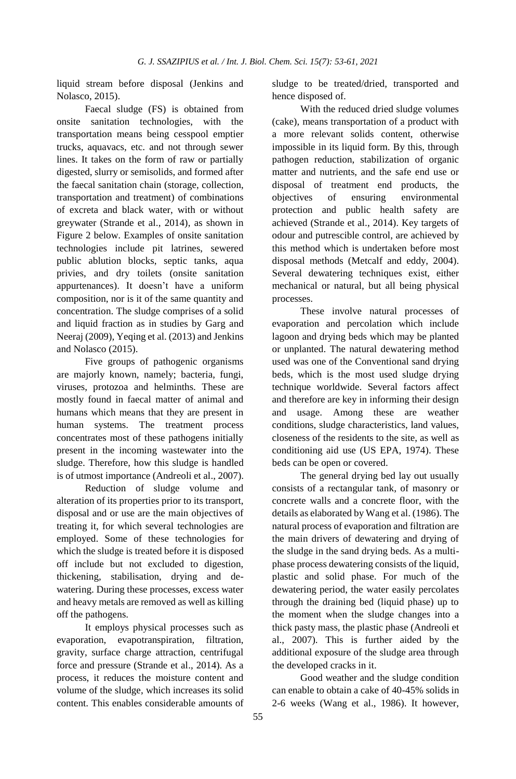liquid stream before disposal (Jenkins and Nolasco, 2015).

Faecal sludge (FS) is obtained from onsite sanitation technologies, with the transportation means being cesspool emptier trucks, aquavacs, etc. and not through sewer lines. It takes on the form of raw or partially digested, slurry or semisolids, and formed after the faecal sanitation chain (storage, collection, transportation and treatment) of combinations of excreta and black water, with or without greywater (Strande et al., 2014), as shown in Figure 2 below. Examples of onsite sanitation technologies include pit latrines, sewered public ablution blocks, septic tanks, aqua privies, and dry toilets (onsite sanitation appurtenances). It doesn't have a uniform composition, nor is it of the same quantity and concentration. The sludge comprises of a solid and liquid fraction as in studies by Garg and Neeraj (2009), Yeqing et al. (2013) and Jenkins and Nolasco (2015).

Five groups of pathogenic organisms are majorly known, namely; bacteria, fungi, viruses, protozoa and helminths. These are mostly found in faecal matter of animal and humans which means that they are present in human systems. The treatment process concentrates most of these pathogens initially present in the incoming wastewater into the sludge. Therefore, how this sludge is handled is of utmost importance (Andreoli et al., 2007).

Reduction of sludge volume and alteration of its properties prior to its transport, disposal and or use are the main objectives of treating it, for which several technologies are employed. Some of these technologies for which the sludge is treated before it is disposed off include but not excluded to digestion, thickening, stabilisation, drying and dewatering. During these processes, excess water and heavy metals are removed as well as killing off the pathogens.

It employs physical processes such as evaporation, evapotranspiration, filtration, gravity, surface charge attraction, centrifugal force and pressure (Strande et al., 2014). As a process, it reduces the moisture content and volume of the sludge, which increases its solid content. This enables considerable amounts of sludge to be treated/dried, transported and hence disposed of.

With the reduced dried sludge volumes (cake), means transportation of a product with a more relevant solids content, otherwise impossible in its liquid form. By this, through pathogen reduction, stabilization of organic matter and nutrients, and the safe end use or disposal of treatment end products, the objectives of ensuring environmental protection and public health safety are achieved (Strande et al., 2014). Key targets of odour and putrescible control, are achieved by this method which is undertaken before most disposal methods (Metcalf and eddy, 2004). Several dewatering techniques exist, either mechanical or natural, but all being physical processes.

These involve natural processes of evaporation and percolation which include lagoon and drying beds which may be planted or unplanted. The natural dewatering method used was one of the Conventional sand drying beds, which is the most used sludge drying technique worldwide. Several factors affect and therefore are key in informing their design and usage. Among these are weather conditions, sludge characteristics, land values, closeness of the residents to the site, as well as conditioning aid use (US EPA, 1974). These beds can be open or covered.

The general drying bed lay out usually consists of a rectangular tank, of masonry or concrete walls and a concrete floor, with the details as elaborated by Wang et al. (1986). The natural process of evaporation and filtration are the main drivers of dewatering and drying of the sludge in the sand drying beds. As a multiphase process dewatering consists of the liquid, plastic and solid phase. For much of the dewatering period, the water easily percolates through the draining bed (liquid phase) up to the moment when the sludge changes into a thick pasty mass, the plastic phase (Andreoli et al., 2007). This is further aided by the additional exposure of the sludge area through the developed cracks in it.

Good weather and the sludge condition can enable to obtain a cake of 40-45% solids in 2-6 weeks (Wang et al., 1986). It however,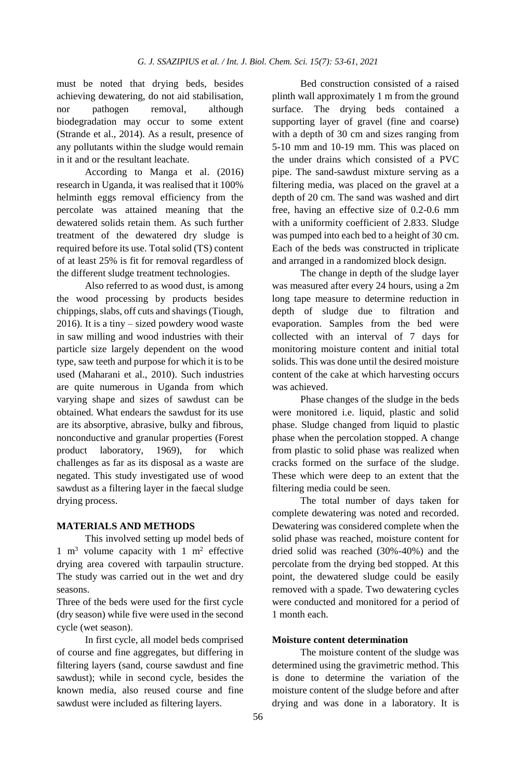must be noted that drying beds, besides achieving dewatering, do not aid stabilisation, nor pathogen removal, although biodegradation may occur to some extent (Strande et al., 2014). As a result, presence of any pollutants within the sludge would remain in it and or the resultant leachate.

According to Manga et al. (2016) research in Uganda, it was realised that it 100% helminth eggs removal efficiency from the percolate was attained meaning that the dewatered solids retain them. As such further treatment of the dewatered dry sludge is required before its use. Total solid (TS) content of at least 25% is fit for removal regardless of the different sludge treatment technologies.

Also referred to as wood dust, is among the wood processing by products besides chippings, slabs, off cuts and shavings (Tiough, 2016). It is a tiny – sized powdery wood waste in saw milling and wood industries with their particle size largely dependent on the wood type, saw teeth and purpose for which it is to be used (Maharani et al., 2010). Such industries are quite numerous in Uganda from which varying shape and sizes of sawdust can be obtained. What endears the sawdust for its use are its absorptive, abrasive, bulky and fibrous, nonconductive and granular properties (Forest product laboratory, 1969), for which challenges as far as its disposal as a waste are negated. This study investigated use of wood sawdust as a filtering layer in the faecal sludge drying process.

## **MATERIALS AND METHODS**

This involved setting up model beds of 1  $m<sup>3</sup>$  volume capacity with 1  $m<sup>2</sup>$  effective drying area covered with tarpaulin structure. The study was carried out in the wet and dry seasons.

Three of the beds were used for the first cycle (dry season) while five were used in the second cycle (wet season).

In first cycle, all model beds comprised of course and fine aggregates, but differing in filtering layers (sand, course sawdust and fine sawdust); while in second cycle, besides the known media, also reused course and fine sawdust were included as filtering layers.

Bed construction consisted of a raised plinth wall approximately 1 m from the ground surface. The drying beds contained a supporting layer of gravel (fine and coarse) with a depth of 30 cm and sizes ranging from 5-10 mm and 10-19 mm. This was placed on the under drains which consisted of a PVC pipe. The sand-sawdust mixture serving as a filtering media, was placed on the gravel at a depth of 20 cm. The sand was washed and dirt free, having an effective size of 0.2-0.6 mm with a uniformity coefficient of 2.833. Sludge was pumped into each bed to a height of 30 cm. Each of the beds was constructed in triplicate and arranged in a randomized block design.

The change in depth of the sludge layer was measured after every 24 hours, using a 2m long tape measure to determine reduction in depth of sludge due to filtration and evaporation. Samples from the bed were collected with an interval of 7 days for monitoring moisture content and initial total solids. This was done until the desired moisture content of the cake at which harvesting occurs was achieved.

Phase changes of the sludge in the beds were monitored i.e. liquid, plastic and solid phase. Sludge changed from liquid to plastic phase when the percolation stopped. A change from plastic to solid phase was realized when cracks formed on the surface of the sludge. These which were deep to an extent that the filtering media could be seen.

The total number of days taken for complete dewatering was noted and recorded. Dewatering was considered complete when the solid phase was reached, moisture content for dried solid was reached (30%-40%) and the percolate from the drying bed stopped. At this point, the dewatered sludge could be easily removed with a spade. Two dewatering cycles were conducted and monitored for a period of 1 month each.

#### **Moisture content determination**

The moisture content of the sludge was determined using the gravimetric method. This is done to determine the variation of the moisture content of the sludge before and after drying and was done in a laboratory. It is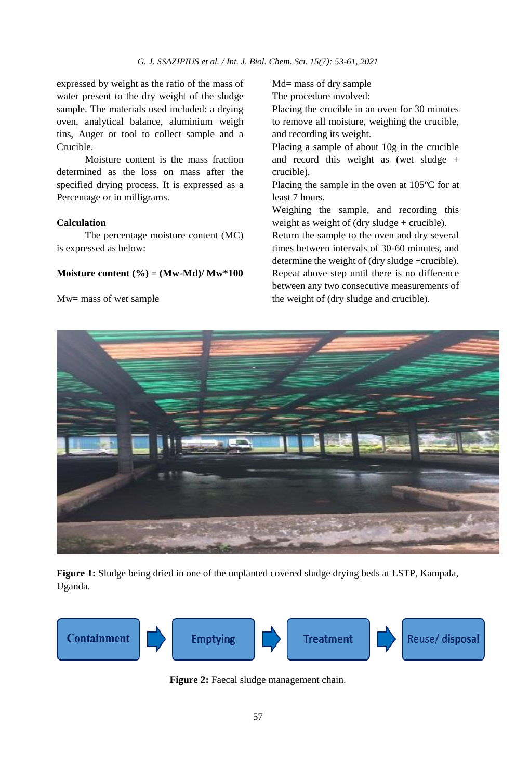expressed by weight as the ratio of the mass of water present to the dry weight of the sludge sample. The materials used included: a drying oven, analytical balance, aluminium weigh tins, Auger or tool to collect sample and a Crucible.

Moisture content is the mass fraction determined as the loss on mass after the specified drying process. It is expressed as a Percentage or in milligrams.

#### **Calculation**

The percentage moisture content (MC) is expressed as below:

#### **Moisture content (%) = (Mw-Md)/ Mw\*100**

Mw= mass of wet sample

Md= mass of dry sample The procedure involved:

Placing the crucible in an oven for 30 minutes to remove all moisture, weighing the crucible, and recording its weight.

Placing a sample of about 10g in the crucible and record this weight as (wet sludge + crucible).

Placing the sample in the oven at  $105^{\circ}$ C for at least 7 hours.

Weighing the sample, and recording this weight as weight of (dry sludge + crucible).

Return the sample to the oven and dry several times between intervals of 30-60 minutes, and determine the weight of (dry sludge +crucible). Repeat above step until there is no difference between any two consecutive measurements of the weight of (dry sludge and crucible).



**Figure 1:** Sludge being dried in one of the unplanted covered sludge drying beds at LSTP, Kampala, Uganda.



Figure 2: Faecal sludge management chain.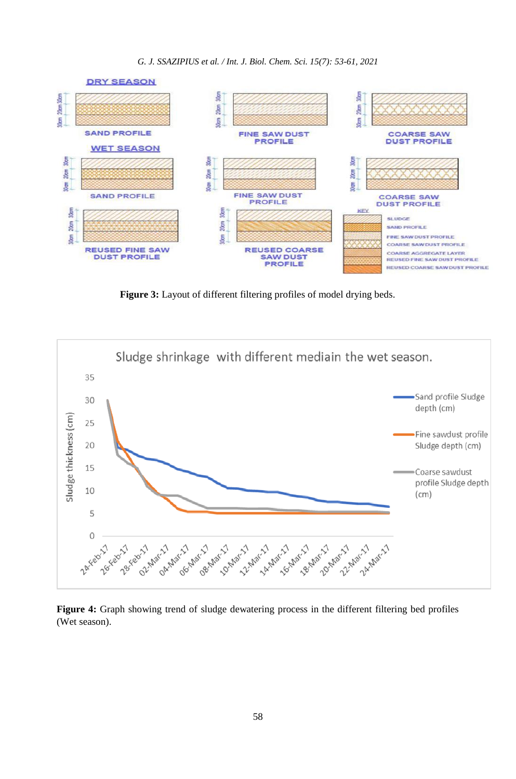*G. J. SSAZIPIUS et al. / Int. J. Biol. Chem. Sci. 15(7): 53-61, 2021*



**Figure 3:** Layout of different filtering profiles of model drying beds.



**Figure 4:** Graph showing trend of sludge dewatering process in the different filtering bed profiles (Wet season).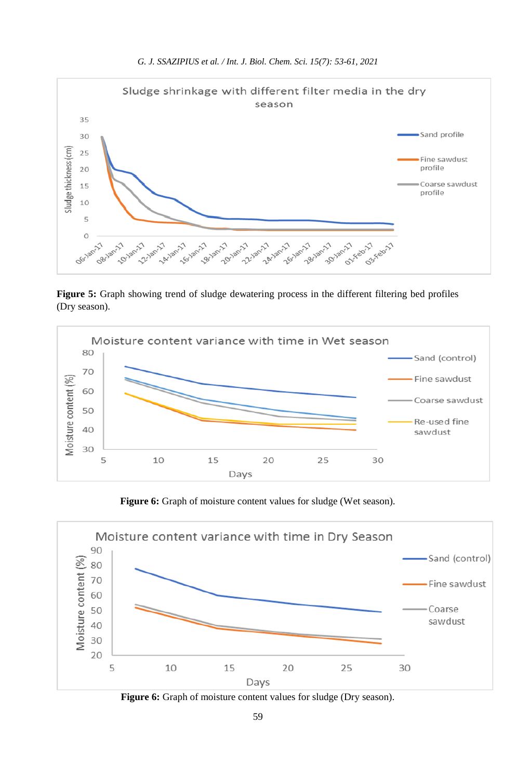

**Figure 5:** Graph showing trend of sludge dewatering process in the different filtering bed profiles (Dry season).



Figure 6: Graph of moisture content values for sludge (Wet season).



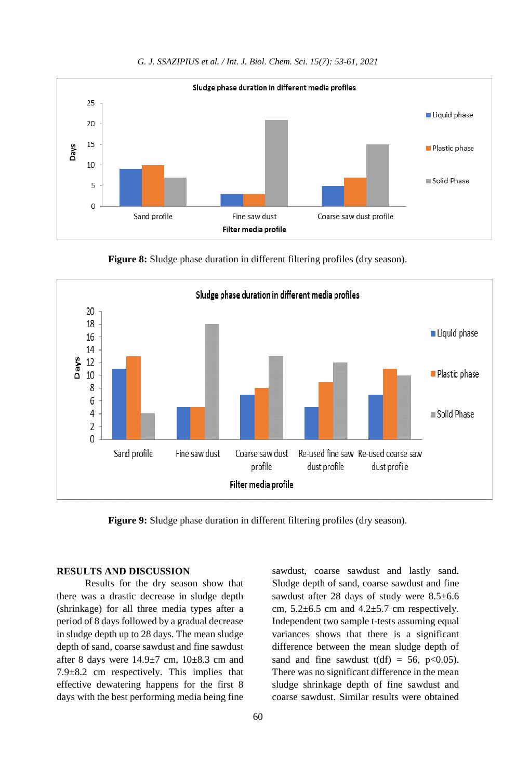

**Figure 8:** Sludge phase duration in different filtering profiles (dry season).



**Figure 9:** Sludge phase duration in different filtering profiles (dry season).

#### **RESULTS AND DISCUSSION**

Results for the dry season show that there was a drastic decrease in sludge depth (shrinkage) for all three media types after a period of 8 days followed by a gradual decrease in sludge depth up to 28 days. The mean sludge depth of sand, coarse sawdust and fine sawdust after 8 days were  $14.9 \pm 7$  cm,  $10 \pm 8.3$  cm and  $7.9\pm8.2$  cm respectively. This implies that effective dewatering happens for the first 8 days with the best performing media being fine

sawdust, coarse sawdust and lastly sand. Sludge depth of sand, coarse sawdust and fine sawdust after 28 days of study were 8.5±6.6 cm,  $5.2\pm6.5$  cm and  $4.2\pm5.7$  cm respectively. Independent two sample t-tests assuming equal variances shows that there is a significant difference between the mean sludge depth of sand and fine sawdust  $t(df) = 56$ ,  $p < 0.05$ ). There was no significant difference in the mean sludge shrinkage depth of fine sawdust and coarse sawdust. Similar results were obtained